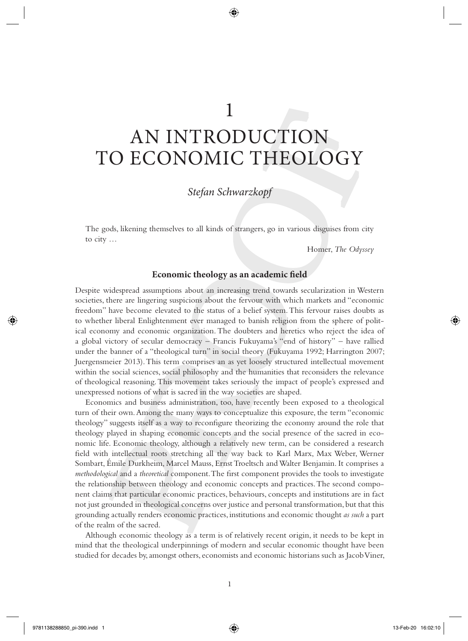## 1

❀

# AN INTRODUCTION TO ECONOMIC THEOLOGY

 *Stefan Schwarzkopf* 

The gods, likening themselves to all kinds of strangers, go in various disguises from city to city …

Homer, *The Odyssey*

### **Economic theology as an academic field**

Despite widespread assumptions about an increasing trend towards secularization in Western societies, there are lingering suspicions about the fervour with which markets and "economic freedom" have become elevated to the status of a belief system. This fervour raises doubts as to whether liberal Enlightenment ever managed to banish religion from the sphere of political economy and economic organization. The doubters and heretics who reject the idea of a global victory of secular democracy –Francis Fukuyama's "end of history" –have rallied under the banner of a "theological turn" in social theory (Fukuyama 1992; Harrington 2007; Juergensmeier 2013). This term comprises an as yet loosely structured intellectual movement within the social sciences, social philosophy and the humanities that reconsiders the relevance of theological reasoning. This movement takes seriously the impact of people's expressed and unexpressed notions of what is sacred in the way societies are shaped.

Economics and business administration, too, have recently been exposed to a theological turn of their own. Among the many ways to conceptualize this exposure, the term "economic theology" suggests itself as a way to reconfigure theorizing the economy around the role that theology played in shaping economic concepts and the social presence of the sacred in economic life. Economic theology, although a relatively new term, can be considered a research field with intellectual roots stretching all the way back to Karl Marx, Max Weber, Werner Sombart, Émile Durkheim, Marcel Mauss, Ernst Troeltsch and Walter Benjamin. It comprises a *methodological* and a *theoretical* component. The first component provides the tools to investigate the relationship between theology and economic concepts and practices. The second component claims that particular economic practices, behaviours, concepts and institutions are in fact not just grounded in theological concerns over justice and personal transformation, but that this grounding actually renders economic practices, institutions and economic thought *as such* a part of the realm of the sacred.

Although economic theology as a term is of relatively recent origin, it needs to be kept in mind that the theological underpinnings of modern and secular economic thought have been studied for decades by, amongst others, economists and economic historians such as Jacob Viner,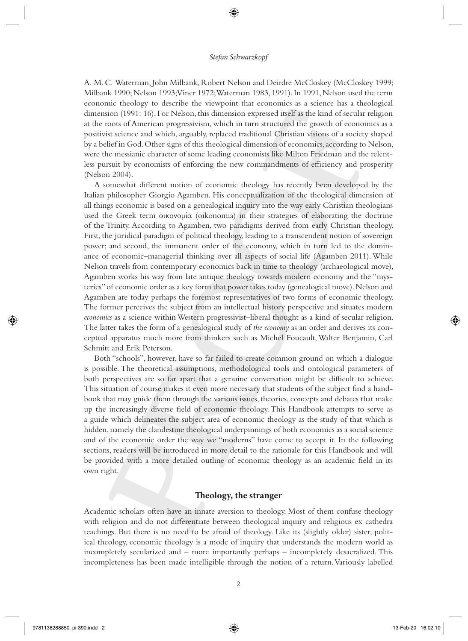❀

A. M. C. Waterman, John Milbank, Robert Nelson and Deirdre McCloskey (McCloskey 1999 ; Milbank 1990; Nelson 1993; Viner 1972; Waterman 1983, 1991). In 1991, Nelson used the term economic theology to describe the viewpoint that economics as a science has a theological dimension (1991: 16). For Nelson, this dimension expressed itself as the kind of secular religion at the roots of American progressivism, which in turn structured the growth of economics as a positivist science and which, arguably, replaced traditional Christian visions of a society shaped by a belief in God. Other signs of this theological dimension of economics, according to Nelson, were the messianic character of some leading economists like Milton Friedman and the relentless pursuit by economists of enforcing the new commandments of efficiency and prosperity (Nelson 2004).

A somewhat different notion of economic theology has recently been developed by the Italian philosopher Giorgio Agamben. His conceptualization of the theological dimension of all things economic is based on a genealogical inquiry into the way early Christian theologians used the Greek term οικονομία (oikonomia) in their strategies of elaborating the doctrine of the Trinity. According to Agamben, two paradigms derived from early Christian theology. First, the juridical paradigm of political theology, leading to a transcendent notion of sovereign power; and second, the immanent order of the economy, which in turn led to the dominance of economic–managerial thinking over all aspects of social life (Agamben 2011). While Nelson travels from contemporary economics back in time to theology (archaeological move), Agamben works his way from late antique theology towards modern economy and the "mysteries" of economic order as a key form that power takes today (genealogical move). Nelson and Agamben are today perhaps the foremost representatives of two forms of economic theology. The former perceives the subject from an intellectual history perspective and situates modern *economics* as a science within Western progressivist–liberal thought as a kind of secular religion. The latter takes the form of a genealogical study of *the economy* as an order and derives its conceptual apparatus much more from thinkers such as Michel Foucault, Walter Benjamin, Carl Schmitt and Erik Peterson.

Both "schools", however, have so far failed to create common ground on which a dialogue is possible. The theoretical assumptions, methodological tools and ontological parameters of both perspectives are so far apart that a genuine conversation might be difficult to achieve. This situation of course makes it even more necessary that students of the subject find a handbook that may guide them through the various issues, theories, concepts and debates that make up the increasingly diverse field of economic theology. This Handbook attempts to serve as a guide which delineates the subject area of economic theology as the study of that which is hidden, namely the clandestine theological underpinnings of both economics as a social science and of the economic order the way we "moderns" have come to accept it. In the following sections, readers will be introduced in more detail to the rationale for this Handbook and will be provided with a more detailed outline of economic theology as an academic field in its own right.

### **Theology, the stranger**

Academic scholars often have an innate aversion to theology. Most of them confuse theology with religion and do not differentiate between theological inquiry and religious ex cathedra teachings. But there is no need to be afraid of theology. Like its (slightly older) sister, political theology, economic theology is a mode of inquiry that understands the modern world as incompletely secularized and – more importantly perhaps – incompletely desacralized. This incompleteness has been made intelligible through the notion of a return. Variously labelled </del>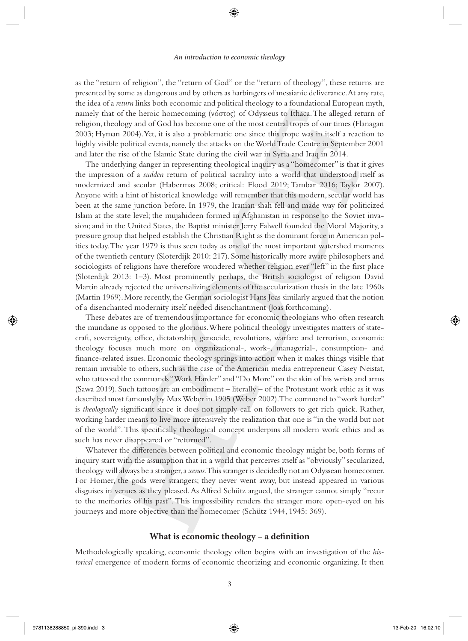❀

as the "return of religion", the "return of God" or the "return of theology", these returns are presented by some as dangerous and by others as harbingers of messianic deliverance. At any rate, the idea of a *return* links both economic and political theology to a foundational European myth, namely that of the heroic homecoming ( νόστος) of Odysseus to Ithaca. The alleged return of religion, theology and of God has become one of the most central tropes of our times (Flanagan 2003; Hyman 2004). Yet, it is also a problematic one since this trope was in itself a reaction to highly visible political events, namely the attacks on the World Trade Centre in September 2001 and later the rise of the Islamic State during the civil war in Syria and Iraq in 2014.

The underlying danger in representing theological inquiry as a "homecomer" is that it gives the impression of a *sudden* return of political sacrality into a world that understood itself as modernized and secular (Habermas 2008; critical: Flood 2019; Tambar 2016; Taylor 2007). Anyone with a hint of historical knowledge will remember that this modern, secular world has been at the same junction before. In 1979, the Iranian shah fell and made way for politicized Islam at the state level; the mujahideen formed in Afghanistan in response to the Soviet invasion; and in the United States, the Baptist minister Jerry Falwell founded the Moral Majority, a pressure group that helped establish the Christian Right as the dominant force in American politics today. The year 1979 is thus seen today as one of the most important watershed moments of the twentieth century (Sloterdijk 2010 : 217). Some historically more aware philosophers and sociologists of religions have therefore wondered whether religion ever "left" in the first place (Sloterdijk 2013: 1–3). Most prominently perhaps, the British sociologist of religion David Martin already rejected the universalizing elements of the secularization thesis in the late 1960s (Martin 1969). More recently, the German sociologist Hans Joas similarly argued that the notion of a disenchanted modernity itself needed disenchantment (Joas forthcoming ).

These debates are of tremendous importance for economic theologians who often research the mundane as opposed to the glorious. Where political theology investigates matters of statecraft, sovereignty, office, dictatorship, genocide, revolutions, warfare and terrorism, economic theology focuses much more on organizational-, work-, managerial-, consumption- and finance-related issues. Economic theology springs into action when it makes things visible that remain invisible to others, such as the case of the American media entrepreneur Casey Neistat, who tattooed the commands "Work Harder" and "Do More" on the skin of his wrists and arms (Sawa 2019). Such tattoos are an embodiment – literally – of the Protestant work ethic as it was described most famously by Max Weber in 1905 (Weber 2002 ). The command to "work harder" is *theologically* significant since it does not simply call on followers to get rich quick. Rather, working harder means to live more intensively the realization that one is "in the world but not of the world". This specifically theological concept underpins all modern work ethics and as such has never disappeared or "returned".

Whatever the differences between political and economic theology might be, both forms of inquiry start with the assumption that in a world that perceives itself as "obviously" secularized, theology will always be a stranger, a *xenos*. This stranger is decidedly not an Odyssean homecomer. For Homer, the gods were strangers; they never went away, but instead appeared in various disguises in venues as they pleased. As Alfred Schütz argued, the stranger cannot simply "recur to the memories of his past". This impossibility renders the stranger more open- eyed on his journeys and more objective than the homecomer (Schütz 1944, 1945: 369).

### What is economic theology – a definition

Methodologically speaking, economic theology often begins with an investigation of the *historical* emergence of modern forms of economic theorizing and economic organizing. It then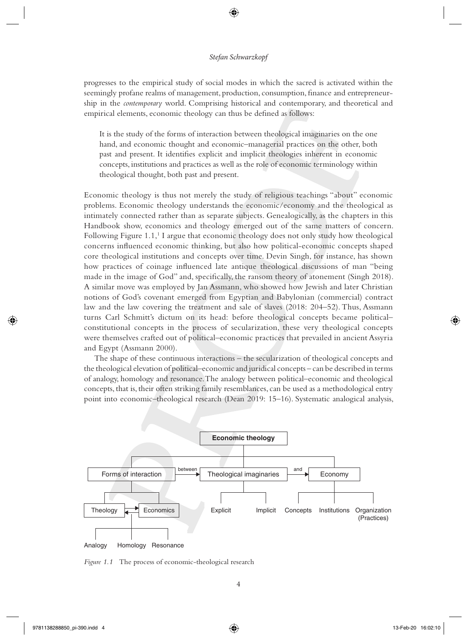❀

progresses to the empirical study of social modes in which the sacred is activated within the seemingly profane realms of management, production, consumption, finance and entrepreneurship in the *contemporary* world. Comprising historical and contemporary, and theoretical and empirical elements, economic theology can thus be defined as follows:

It is the study of the forms of interaction between theological imaginaries on the one hand, and economic thought and economic– managerial practices on the other, both past and present. It identifies explicit and implicit theologies inherent in economic concepts, institutions and practices as well as the role of economic terminology within theological thought, both past and present.

Economic theology is thus not merely the study of religious teachings "about" economic problems. Economic theology understands the economic/ economy and the theological as intimately connected rather than as separate subjects. Genealogically, as the chapters in this Handbook show, economics and theology emerged out of the same matters of concern. Following Figure 1.1,<sup>1</sup> I argue that economic theology does not only study how theological concerns influenced economic thinking, but also how political-economic concepts shaped core theological institutions and concepts over time. Devin Singh, for instance, has shown how practices of coinage influenced late antique theological discussions of man "being made in the image of God" and, specifically, the ransom theory of atonement (Singh 2018). A similar move was employed by Jan Assmann, who showed how Jewish and later Christian notions of God's covenant emerged from Egyptian and Babylonian (commercial) contract law and the law covering the treatment and sale of slaves (2018: 204–52). Thus, Assmann turns Carl Schmitt's dictum on its head: before theological concepts became political– constitutional concepts in the process of secularization, these very theological concepts were themselves crafted out of political– economic practices that prevailed in ancient Assyria and Egypt (Assmann 2000).

The shape of these continuous interactions  $-$  the secularization of theological concepts and the theological elevation of political– economic and juridical concepts –can be described in terms of analogy, homology and resonance. The analogy between political– economic and theological concepts, that is, their often striking family resemblances, can be used as a methodological entry point into economic–theological research (Dean 2019: 15–16). Systematic analogical analysis,



*Figure 1.1* The process of economic-theological research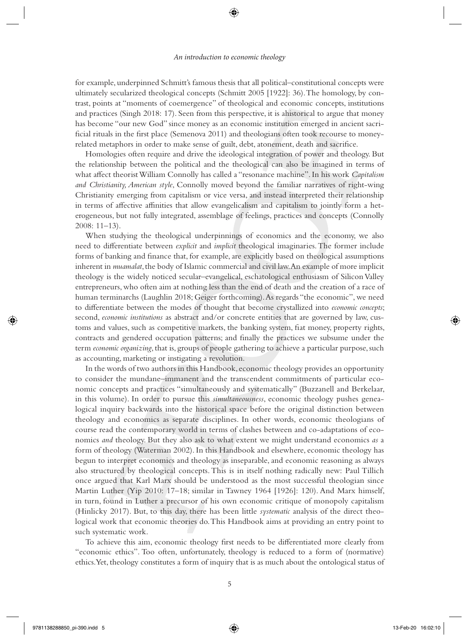❀

for example, underpinned Schmitt's famous thesis that all political– constitutional concepts were ultimately secularized theological concepts (Schmitt 2005 [1922]: 36). The homology, by contrast, points at "moments of coemergence" of theological and economic concepts, institutions and practices (Singh 2018: 17). Seen from this perspective, it is ahistorical to argue that money has become "our new God" since money as an economic institution emerged in ancient sacrificial rituals in the first place (Semenova 2011) and theologians often took recourse to moneyrelated metaphors in order to make sense of guilt, debt, atonement, death and sacrifice.

Homologies often require and drive the ideological integration of power and theology. But the relationship between the political and the theological can also be imagined in terms of what affect theorist William Connolly has called a "resonance machine". In his work *Capitalism and Christianity, American style*, Connolly moved beyond the familiar narratives of right-wing Christianity emerging from capitalism or vice versa, and instead interpreted their relationship in terms of affective affinities that allow evangelicalism and capitalism to jointly form a heterogeneous, but not fully integrated, assemblage of feelings, practices and concepts (Connolly  $2008:11-13$ .

When studying the theological underpinnings of economics and the economy, we also need to differentiate between *explicit* and *implicit* theological imaginaries. The former include forms of banking and finance that, for example, are explicitly based on theological assumptions inherent in *muamalat*, the body of Islamic commercial and civil law. An example of more implicit theology is the widely noticed secular– evangelical, eschatological enthusiasm of Silicon Valley entrepreneurs, who often aim at nothing less than the end of death and the creation of a race of human terminarchs (Laughlin 2018; Geiger forthcoming). As regards "the economic", we need to diff erentiate between the modes of thought that become crystallized into *economic concepts*; second, *economic institutions* as abstract and/or concrete entities that are governed by law, customs and values, such as competitive markets, the banking system, fiat money, property rights, contracts and gendered occupation patterns; and finally the practices we subsume under the term *economic organizing*, that is, groups of people gathering to achieve a particular purpose, such as accounting, marketing or instigating a revolution.

In the words of two authors in this Handbook, economic theology provides an opportunity to consider the mundane–immanent and the transcendent commitments of particular economic concepts and practices "simultaneously and systematically" (Buzzanell and Berkelaar, in this volume). In order to pursue this *simultaneousness*, economic theology pushes genealogical inquiry backwards into the historical space before the original distinction between theology and economics as separate disciplines. In other words, economic theologians of course read the contemporary world in terms of clashes between and co- adaptations of economics *and* theology. But they also ask to what extent we might understand economics *as* a form of theology (Waterman 2002). In this Handbook and elsewhere, economic theology has begun to interpret economics and theology as inseparable, and economic reasoning as always also structured by theological concepts. This is in itself nothing radically new: Paul Tillich once argued that Karl Marx should be understood as the most successful theologian since Martin Luther (Yip 2010: 17–18; similar in Tawney 1964 [1926]: 120). And Marx himself, in turn, found in Luther a precursor of his own economic critique of monopoly capitalism (Hinlicky 2017). But, to this day, there has been little *systematic* analysis of the direct theological work that economic theories do. This Handbook aims at providing an entry point to such systematic work.

To achieve this aim, economic theology first needs to be differentiated more clearly from "economic ethics". Too often, unfortunately, theology is reduced to a form of (normative) ethics. Yet, theology constitutes a form of inquiry that is as much about the ontological status of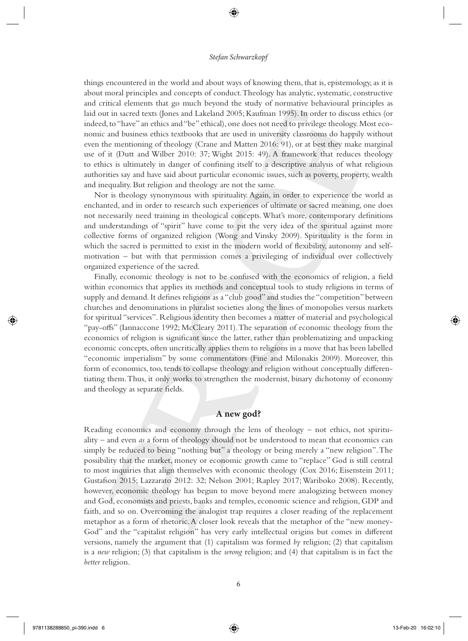❀

things encountered in the world and about ways of knowing them, that is, epistemology, as it is about moral principles and concepts of conduct. Theology has analytic, systematic, constructive and critical elements that go much beyond the study of normative behavioural principles as laid out in sacred texts (Jones and Lakeland 2005 ; Kaufman 1995 ). In order to discuss ethics (or indeed, to "have" an ethics and "be" ethical), one does not need to privilege theology. Most economic and business ethics textbooks that are used in university classrooms do happily without even the mentioning of theology (Crane and Matten 2016: 91), or at best they make marginal use of it (Dutt and Wilber 2010: 37; Wight 2015: 49). A framework that reduces theology to ethics is ultimately in danger of confining itself to a descriptive analysis of what religious authorities say and have said about particular economic issues, such as poverty, property, wealth and inequality. But religion and theology are not the same.

Nor is theology synonymous with spirituality. Again, in order to experience the world as enchanted, and in order to research such experiences of ultimate or sacred meaning, one does not necessarily need training in theological concepts. What's more, contemporary definitions and understandings of "spirit" have come to pit the very idea of the spiritual against more collective forms of organized religion (Wong and Vinsky 2009). Spirituality is the form in which the sacred is permitted to exist in the modern world of flexibility, autonomy and selfmotivation – but with that permission comes a privileging of individual over collectively organized experience of the sacred.

Finally, economic theology is not to be confused with the economics of religion, a field within economics that applies its methods and conceptual tools to study religions in terms of supply and demand. It defines religions as a "club good" and studies the "competition" between churches and denominations in pluralist societies along the lines of monopolies versus markets for spiritual "services". Religious identity then becomes a matter of material and psychological "pay-offs" (Iannaccone 1992; McCleary 2011). The separation of economic theology from the economics of religion is significant since the latter, rather than problematizing and unpacking economic concepts, often uncritically applies them to religions in a move that has been labelled "economic imperialism" by some commentators (Fine and Milonakis 2009). Moreover, this form of economics, too, tends to collapse theology and religion without conceptually differentiating them. Thus, it only works to strengthen the modernist, binary dichotomy of economy and theology as separate fields.

### **A new god?**

Reading economics and economy through the lens of theology  $-$  not ethics, not spirituality –and even *as* a form of theology should not be understood to mean that economics can simply be reduced to being "nothing but" a theology or being merely a "new religion". The possibility that the market, money or economic growth came to "replace" God is still central to most inquiries that align themselves with economic theology ( $Cox 2016$ ; Eisenstein 2011; Gustafson 2015; Lazzarato 2012: 32; Nelson 2001; Rapley 2017; Wariboko 2008). Recently, however, economic theology has begun to move beyond mere analogizing between money and God, economists and priests, banks and temples, economic science and religion, GDP and faith, and so on. Overcoming the analogist trap requires a closer reading of the replacement metaphor as a form of rhetoric. A closer look reveals that the metaphor of the "new money-God" and the "capitalist religion" has very early intellectual origins but comes in different versions, namely the argument that (1) capitalism was formed *by* religion; (2) that capitalism is a *new* religion; (3) that capitalism is the *wrong* religion; and (4) that capitalism is in fact the *better* religion.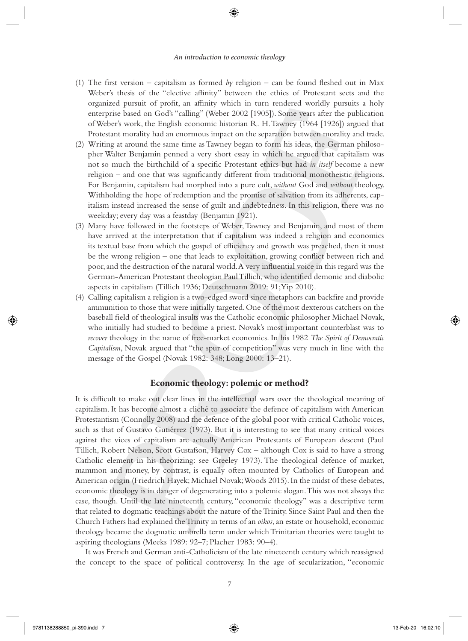❀

- (1) The first version capitalism as formed *by* religion can be found fleshed out in Max Weber's thesis of the "elective affinity" between the ethics of Protestant sects and the organized pursuit of profit, an affinity which in turn rendered worldly pursuits a holy enterprise based on God's "calling" (Weber 2002 [1905] ). Some years after the publication of Weber's work, the English economic historian R. H. Tawney ( 1964 [1926] ) argued that Protestant morality had an enormous impact on the separation between morality and trade.
- (2) Writing at around the same time as Tawney began to form his ideas, the German philosopher Walter Benjamin penned a very short essay in which he argued that capitalism was not so much the birthchild of a specific Protestant ethics but had *in itself* become a new religion – and one that was significantly different from traditional monotheistic religions. For Benjamin, capitalism had morphed into a pure cult, *without* God and *without* theology. Withholding the hope of redemption and the promise of salvation from its adherents, capitalism instead increased the sense of guilt and indebtedness. In this religion, there was no weekday; every day was a feastday (Benjamin 1921).
- (3) Many have followed in the footsteps of Weber, Tawney and Benjamin, and most of them have arrived at the interpretation that if capitalism was indeed a religion and economics its textual base from which the gospel of efficiency and growth was preached, then it must be the wrong religion – one that leads to exploitation, growing conflict between rich and poor, and the destruction of the natural world. A very influential voice in this regard was the German-American Protestant theologian Paul Tillich, who identified demonic and diabolic aspects in capitalism (Tillich 1936; Deutschmann 2019: 91; Yip 2010).
- (4) Calling capitalism a religion is a two-edged sword since metaphors can backfire and provide ammunition to those that were initially targeted. One of the most dexterous catchers on the baseball field of theological insults was the Catholic economic philosopher Michael Novak, who initially had studied to become a priest. Novak's most important counterblast was to *recover* theology in the name of free-market economics. In his 1982 *The Spirit of Democratic Capitalism*, Novak argued that "the spur of competition" was very much in line with the message of the Gospel (Novak 1982: 348; Long 2000: 13-21).

### **Economic theology: polemic or method?**

It is difficult to make out clear lines in the intellectual wars over the theological meaning of capitalism. It has become almost a cliché to associate the defence of capitalism with American Protestantism (Connolly 2008) and the defence of the global poor with critical Catholic voices, such as that of Gustavo Gutiérrez (1973). But it is interesting to see that many critical voices against the vices of capitalism are actually American Protestants of European descent (Paul Tillich, Robert Nelson, Scott Gustafson, Harvey Cox –although Cox is said to have a strong Catholic element in his theorizing: see Greeley 1973 ). The theological defence of market, mammon and money, by contrast, is equally often mounted by Catholics of European and American origin (Friedrich Hayek; Michael Novak; Woods 2015). In the midst of these debates, economic theology is in danger of degenerating into a polemic slogan. This was not always the case, though. Until the late nineteenth century, "economic theology" was a descriptive term that related to dogmatic teachings about the nature of the Trinity. Since Saint Paul and then the Church Fathers had explained the Trinity in terms of an *oikos*, an estate or household, economic theology became the dogmatic umbrella term under which Trinitarian theories were taught to aspiring theologians (Meeks 1989: 92–7; Placher 1983: 90–4).

It was French and German anti- Catholicism of the late nineteenth century which reassigned the concept to the space of political controversy. In the age of secularization, "economic

9781138288850\_pi-390.indd 7 13-Feb-20 16:02:10

</del>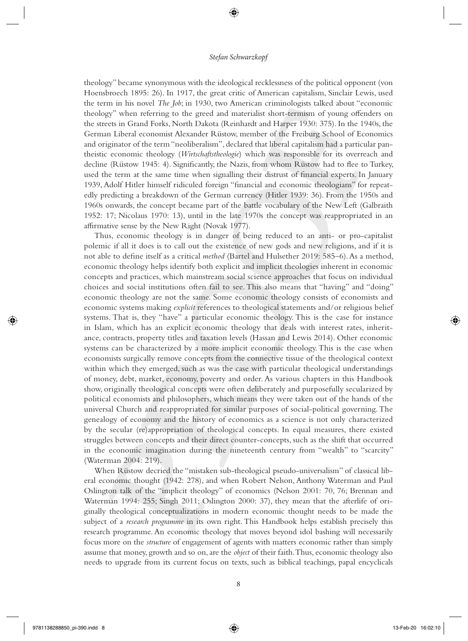◈

theology" became synonymous with the ideological recklessness of the political opponent (von Hoensbroech 1895 : 26). In 1917, the great critic of American capitalism, Sinclair Lewis, used the term in his novel *The Job*; in 1930, two American criminologists talked about "economic theology" when referring to the greed and materialist short-termism of young offenders on the streets in Grand Forks, North Dakota (Reinhardt and Harper 1930: 375). In the 1940s, the German Liberal economist Alexander Rüstow, member of the Freiburg School of Economics and originator of the term "neoliberalism", declared that liberal capitalism had a particular pantheistic economic theology ( *Wirtschaftstheologie*) which was responsible for its overreach and decline (Rüstow 1945: 4). Significantly, the Nazis, from whom Rüstow had to flee to Turkey, used the term at the same time when signalling their distrust of financial experts. In January 1939, Adolf Hitler himself ridiculed foreign "financial and economic theologians" for repeatedly predicting a breakdown of the German currency (Hitler 1939 : 36). From the 1950s and 1960s onwards, the concept became part of the battle vocabulary of the New Left (Galbraith 1952: 17; Nicolaus 1970: 13), until in the late 1970s the concept was reappropriated in an affirmative sense by the New Right (Novak 1977).

Thus, economic theology is in danger of being reduced to an anti- or pro-capitalist polemic if all it does is to call out the existence of new gods and new religions, and if it is not able to define itself as a critical *method* (Bartel and Hulsether 2019: 585–6). As a method, economic theology helps identify both explicit and implicit theologies inherent in economic concepts and practices, which mainstream social science approaches that focus on individual choices and social institutions often fail to see. This also means that "having" and "doing" economic theology are not the same. Some economic theology consists of economists and economic systems making *explicit* references to theological statements and/ or religious belief systems. That is, they "have" a particular economic theology. This is the case for instance in Islam, which has an explicit economic theology that deals with interest rates, inheritance, contracts, property titles and taxation levels (Hassan and Lewis 2014 ). Other economic systems can be characterized by a more implicit economic theology. This is the case when economists surgically remove concepts from the connective tissue of the theological context within which they emerged, such as was the case with particular theological understandings of money, debt, market, economy, poverty and order. As various chapters in this Handbook show, originally theological concepts were often deliberately and purposefully secularized by political economists and philosophers, which means they were taken out of the hands of the universal Church and reappropriated for similar purposes of social- political governing. The genealogy of economy and the history of economics as a science is not only characterized by the secular (re)appropriation of theological concepts. In equal measures, there existed struggles between concepts and their direct counter- concepts, such as the shift that occurred in the economic imagination during the nineteenth century from "wealth" to "scarcity" (Waterman 2004: 219).

When Rüstow decried the "mistaken sub-theological pseudo-universalism" of classical liberal economic thought (1942: 278), and when Robert Nelson, Anthony Waterman and Paul Oslington talk of the "implicit theology" of economics (Nelson 2001: 70, 76; Brennan and Waterman 1994: 255; Singh 2011; Oslington 2000: 37), they mean that the afterlife of originally theological conceptualizations in modern economic thought needs to be made the subject of a *research programme* in its own right. This Handbook helps establish precisely this research programme. An economic theology that moves beyond idol bashing will necessarily focus more on the *structure* of engagement of agents with matters economic rather than simply assume that money, growth and so on, are the *object* of their faith. Thus, economic theology also needs to upgrade from its current focus on texts, such as biblical teachings, papal encyclicals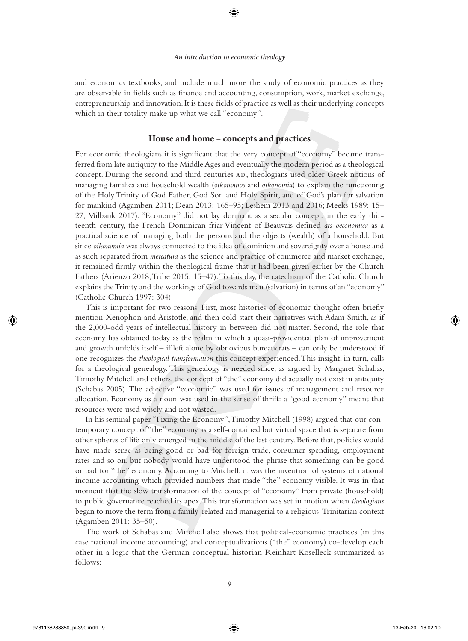### ❀

#### *An introduction to economic theology*

and economics textbooks, and include much more the study of economic practices as they are observable in fields such as finance and accounting, consumption, work, market exchange, entrepreneurship and innovation. It is these fields of practice as well as their underlying concepts which in their totality make up what we call "economy".

### **House and home – concepts and practices**

For economic theologians it is significant that the very concept of "economy" became transferred from late antiquity to the Middle Ages and eventually the modern period as a theological concept. During the second and third centuries AD, theologians used older Greek notions of managing families and household wealth ( *oikonomos* and *oikonomia*) to explain the functioning of the Holy Trinity of God Father, God Son and Holy Spirit, and of God's plan for salvation for mankind (Agamben 2011; Dean 2013: 165–95; Leshem 2013 and 2016; Meeks 1989: 15– 27; Milbank 2017). "Economy" did not lay dormant as a secular concept: in the early thirteenth century, the French Dominican friar Vincent of Beauvais defined ars oeconomica as a practical science of managing both the persons and the objects (wealth) of a household. But since *oikonomia* was always connected to the idea of dominion and sovereignty over a house and as such separated from *mercatura* as the science and practice of commerce and market exchange, it remained firmly within the theological frame that it had been given earlier by the Church Fathers (Arienzo 2018; Tribe 2015: 15–47). To this day, the catechism of the Catholic Church explains the Trinity and the workings of God towards man (salvation) in terms of an "economy" (Catholic Church 1997: 304).

This is important for two reasons. First, most histories of economic thought often briefly mention Xenophon and Aristotle, and then cold- start their narratives with Adam Smith, as if the 2,000- odd years of intellectual history in between did not matter. Second, the role that economy has obtained today as the realm in which a quasi- providential plan of improvement and growth unfolds itself  $-$  if left alone by obnoxious bureaucrats  $-$  can only be understood if one recognizes the *theological transformation* this concept experienced. This insight, in turn, calls for a theological genealogy. This genealogy is needed since, as argued by Margaret Schabas, Timothy Mitchell and others, the concept of "the" economy did actually not exist in antiquity (Schabas 2005). The adjective "economic" was used for issues of management and resource allocation. Economy as a noun was used in the sense of thrift: a "good economy" meant that resources were used wisely and not wasted.

In his seminal paper "Fixing the Economy", Timothy Mitchell ( 1998 ) argued that our contemporary concept of "the" economy as a self- contained but virtual space that is separate from other spheres of life only emerged in the middle of the last century. Before that, policies would have made sense as being good or bad for foreign trade, consumer spending, employment rates and so on, but nobody would have understood the phrase that something can be good or bad for "the" economy. According to Mitchell, it was the invention of systems of national income accounting which provided numbers that made "the" economy visible. It was in that moment that the slow transformation of the concept of "economy" from private (household) to public governance reached its apex. This transformation was set in motion when *theologians* began to move the term from a family- related and managerial to a religious- Trinitarian context (Agamben 2011: 35–50).

The work of Schabas and Mitchell also shows that political- economic practices (in this case national income accounting) and conceptualizations ("the" economy) co- develop each other in a logic that the German conceptual historian Reinhart Koselleck summarized as follows: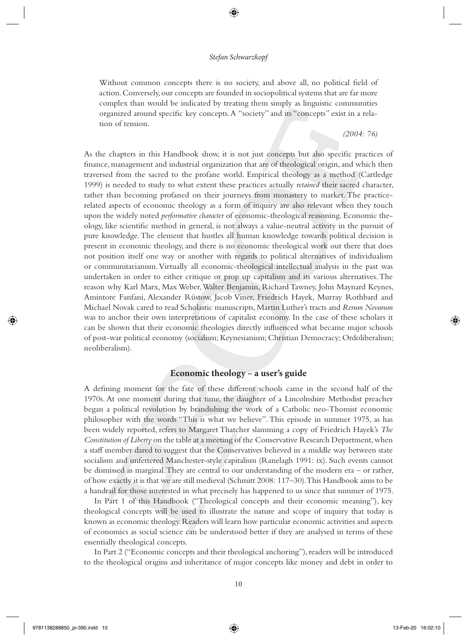↔

Without common concepts there is no society, and above all, no political field of action. Conversely, our concepts are founded in sociopolitical systems that are far more complex than would be indicated by treating them simply as linguistic communities organized around specific key concepts. A "society" and its "concepts" exist in a relation of tension.

 *( 2004 : 76)* 

As the chapters in this Handbook show, it is not just concepts but also specific practices of finance, management and industrial organization that are of theological origin, and which then traversed from the sacred to the profane world. Empirical theology as a method (Cartledge 1999 ) is needed to study to what extent these practices actually *retained* their sacred character, rather than becoming profaned on their journeys from monastery to market. The practicerelated aspects of economic theology as a form of inquiry are also relevant when they touch upon the widely noted *performative character* of economic- theological reasoning. Economic theology, like scientific method in general, is not always a value-neutral activity in the pursuit of pure knowledge. The element that hustles all human knowledge towards political decision is present in economic theology, and there is no economic theological work out there that does not position itself one way or another with regards to political alternatives of individualism or communitarianism. Virtually all economic- theological intellectual analysis in the past was undertaken in order to either critique or prop up capitalism and its various alternatives. The reason why Karl Marx, Max Weber, Walter Benjamin, Richard Tawney, John Maynard Keynes, Amintore Fanfani, Alexander Rüstow, Jacob Viner, Friedrich Hayek, Murray Rothbard and Michael Novak cared to read Scholastic manuscripts, Martin Luther's tracts and *Rerum Novarum* was to anchor their own interpretations of capitalist economy. In the case of these scholars it can be shown that their economic theologies directly influenced what became major schools of post- war political economy (socialism; Keynesianism; Christian Democracy; Ordoliberalism; neoliberalism).

### **Economic theology – a user's guide**

A defining moment for the fate of these different schools came in the second half of the 1970s. At one moment during that time, the daughter of a Lincolnshire Methodist preacher began a political revolution by brandishing the work of a Catholic neo-Thomist economic philosopher with the words "This is what we believe". This episode in summer 1975, as has been widely reported, refers to Margaret Thatcher slamming a copy of Friedrich Hayek's *The Constitution of Liberty* on the table at a meeting of the Conservative Research Department, when a staff member dared to suggest that the Conservatives believed in a middle way between state socialism and unfettered Manchester-style capitalism (Ranelagh 1991: ix). Such events cannot be dismissed as marginal. They are central to our understanding of the modern era – or rather, of how exactly it is that we are still medieval (Schmitt 2008 : 117– 30). This Handbook aims to be a handrail for those interested in what precisely has happened to us since that summer of 1975.

In Part 1 of this Handbook ("Theological concepts and their economic meaning"), key theological concepts will be used to illustrate the nature and scope of inquiry that today is known as economic theology. Readers will learn how particular economic activities and aspects of economics as social science can be understood better if they are analysed in terms of these essentially theological concepts.

In Part 2 ("Economic concepts and their theological anchoring"), readers will be introduced to the theological origins and inheritance of major concepts like money and debt in order to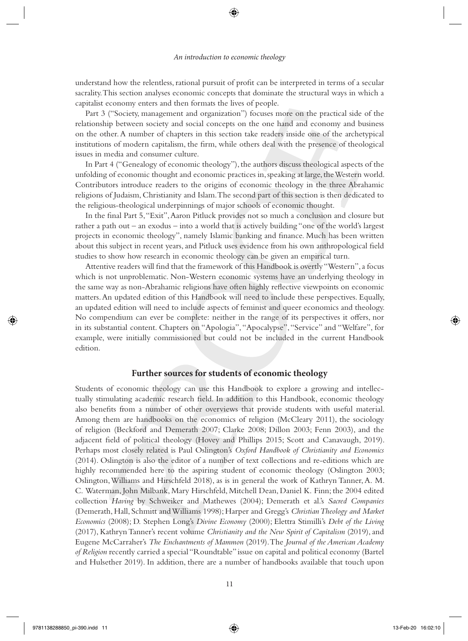❀

understand how the relentless, rational pursuit of profit can be interpreted in terms of a secular sacrality. This section analyses economic concepts that dominate the structural ways in which a capitalist economy enters and then formats the lives of people.

Part 3 ("Society, management and organization") focuses more on the practical side of the relationship between society and social concepts on the one hand and economy and business on the other. A number of chapters in this section take readers inside one of the archetypical institutions of modern capitalism, the firm, while others deal with the presence of theological issues in media and consumer culture.

In Part 4 ("Genealogy of economic theology"), the authors discuss theological aspects of the unfolding of economic thought and economic practices in, speaking at large, the Western world. Contributors introduce readers to the origins of economic theology in the three Abrahamic religions of Judaism, Christianity and Islam. The second part of this section is then dedicated to the religious- theological underpinnings of major schools of economic thought.

In the final Part 5, "Exit", Aaron Pitluck provides not so much a conclusion and closure but rather a path out – an exodus – into a world that is actively building "one of the world's largest projects in economic theology", namely Islamic banking and finance. Much has been written about this subject in recent years, and Pitluck uses evidence from his own anthropological field studies to show how research in economic theology can be given an empirical turn.

Attentive readers will find that the framework of this Handbook is overtly "Western", a focus which is not unproblematic. Non-Western economic systems have an underlying theology in the same way as non-Abrahamic religions have often highly reflective viewpoints on economic matters. An updated edition of this Handbook will need to include these perspectives. Equally, an updated edition will need to include aspects of feminist and queer economics and theology. No compendium can ever be complete: neither in the range of its perspectives it offers, nor in its substantial content. Chapters on "Apologia", "Apocalypse", "Service" and "Welfare", for example, were initially commissioned but could not be included in the current Handbook edition.

### **Further sources for students of economic theology**

Students of economic theology can use this Handbook to explore a growing and intellectually stimulating academic research field. In addition to this Handbook, economic theology also benefits from a number of other overviews that provide students with useful material. Among them are handbooks on the economics of religion (McCleary 2011), the sociology of religion (Beckford and Demerath 2007; Clarke 2008; Dillon 2003; Fenn 2003), and the adjacent field of political theology (Hovey and Phillips 2015; Scott and Canavaugh, 2019). Perhaps most closely related is Paul Oslington's *Oxford Handbook of Christianity and Economics* (2014). Oslington is also the editor of a number of text collections and re- editions which are highly recommended here to the aspiring student of economic theology (Oslington 2003; Oslington, Williams and Hirschfeld 2018), as is in general the work of Kathryn Tanner, A. M. C. Waterman, John Milbank, Mary Hirschfeld, Mitchell Dean, Daniel K. Finn; the 2004 edited collection *Having* by Schweiker and Mathewes ( 2004 ); Demerath et al.'s *Sacred Companies* (Demerath, Hall, Schmitt and Williams 1998); Harper and Gregg's *Christian Theology and Market Economics* (2008); D. Stephen Long's *Divine Economy* (2000); Elettra Stimilli's *Debt of the Living* (2017), Kathryn Tanner's recent volume *Christianity and the New Spirit of Capitalism* (2019), and Eugene McCarraher's *The Enchantments of Mammon* (2019). The *Journal of the American Academy of Religion* recently carried a special "Roundtable" issue on capital and political economy (Bartel and Hulsether 2019). In addition, there are a number of handbooks available that touch upon

9781138288850\_pi-390.indd 11 781138288850\_pi-390.indd 11 781138288850\_pi-390.indd 14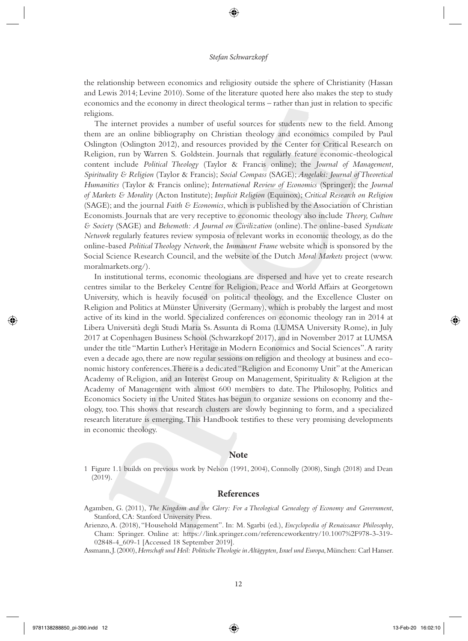↔

the relationship between economics and religiosity outside the sphere of Christianity (Hassan and Lewis 2014; Levine 2010). Some of the literature quoted here also makes the step to study economics and the economy in direct theological terms – rather than just in relation to specific religions.

The internet provides a number of useful sources for students new to the field. Among them are an online bibliography on Christian theology and economics compiled by Paul Oslington (Oslington 2012), and resources provided by the Center for Critical Research on Religion, run by Warren S. Goldstein. Journals that regularly feature economic- theological content include *Political Theology* (Taylor & Francis online); the *Journal of Management, Spirituality & Religion* (Taylor & Francis); *Social Compass* (SAGE); *Angelaki: Journal of Theoretical Humanities* (Taylor & Francis online); *International Review of Economics* (Springer); the *Journal of Markets & Morality* (Acton Institute); *Implicit Religion* (Equinox); *Critical Research on Religion* (SAGE); and the journal *Faith & Economics*, which is published by the Association of Christian Economists. Journals that are very receptive to economic theology also include *Theory, Culture & Society* (SAGE) and *Behemoth: A Journal on Civilization* (online). The online- based *Syndicate Network* regularly features review symposia of relevant works in economic theology, as do the online- based *Political Theology Network*, the *Immanent Frame* website which is sponsored by the Social Science Research Council, and the website of the Dutch *Moral Markets* project ( www. moralmarkets.org/).

In institutional terms, economic theologians are dispersed and have yet to create research centres similar to the Berkeley Centre for Religion, Peace and World Affairs at Georgetown University, which is heavily focused on political theology, and the Excellence Cluster on Religion and Politics at Münster University (Germany), which is probably the largest and most active of its kind in the world. Specialized conferences on economic theology ran in 2014 at Libera Università degli Studi Maria Ss. Assunta di Roma (LUMSA University Rome), in July 2017 at Copenhagen Business School (Schwarzkopf 2017 ), and in November 2017 at LUMSA under the title "Martin Luther's Heritage in Modern Economics and Social Sciences". A rarity even a decade ago, there are now regular sessions on religion and theology at business and economic history conferences. There is a dedicated "Religion and Economy Unit" at the American Academy of Religion, and an Interest Group on Management, Spirituality & Religion at the Academy of Management with almost 600 members to date. The Philosophy, Politics and Economics Society in the United States has begun to organize sessions on economy and theology, too. This shows that research clusters are slowly beginning to form, and a specialized research literature is emerging. This Handbook testifies to these very promising developments in economic theology.

### **Note**

1 Figure 1.1 builds on previous work by Nelson (1991, 2004), Connolly (2008), Singh (2018) and Dean  $(2019).$ 

### **References**

- Agamben, G. (2011), *The Kingdom and the Glory: For a Theological Genealogy of Economy and Government*, Stanford, CA: Stanford University Press.
- Arienzo , A.( 2018 ), " Household Management ". In: M. Sgarbi(ed.), *Encyclopedia of Renaissance Philosophy*, Cham: Springer. Online at: https://link.springer.com/referenceworkentry/10.1007%2F978-3-319-02848-4\_609-1 [Accessed 18 September 2019].
- Assmann, J. (2000), *Herrschaft und Heil: Politische Theologie in Altägypten, Israel und Europa*, München: Carl Hanser.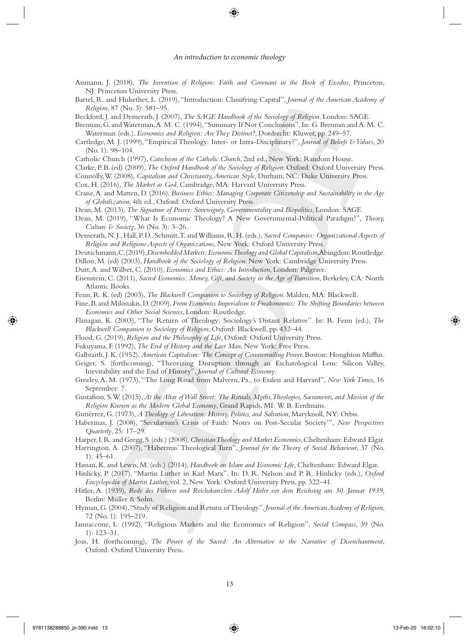↔

- Assmann , J.( 2018 ), *The Invention of Religion: Faith and Covenant in the Book of Exodus*, Princeton, NJ: Princeton University Press.
- Bartel, R. and Hulsether, L. (2019), "Introduction: Classifying Capital", *Journal of the American Academy of Religion*, 87 (No. 3): 581-95.

Beckford, J. and Demerath, J. (2007), *The SAGE Handbook of the Sociology of Religion*. London: SAGE.

Brennan, G. and Waterman, A. M. C. (1994), "Summary If Not Conclusions". In: G. Brennan and A. M. C. Waterman (eds.), *Economics and Religion: Are They Distinct?*, Dordrecht: Kluwer, pp. 249–57.

- Cartledge, M. J. (1999), "Empirical Theology: Inter- or Intra-Disciplinary?", *Journal of Beliefs & Values*, 20  $(No. 1)$ : 98-104.
- Catholic Church (1997), *Catechism of the Catholic Church*, 2nd ed., New York: Random House.

Clarke, P. B. (ed) (2009), *The Oxford Handbook of the Sociology of Religion*. Oxford: Oxford University Press.

Connolly, W. (2008), *Capitalism and Christianity, American Style*, Durham, NC: Duke University Press.

Cox, H. (2016), *The Market as God*, Cambridge, MA: Harvard University Press.

Crane, A. and Matten, D. (2016), *Business Ethics: Managing Corporate Citizenship and Sustainability in the Age* of Globalization, 4th ed., Oxford: Oxford University Press.

Dean, M. (2013), *The Signature of Power: Sovereignty*, Governmentality and Biopolitics, London: SAGE.

- Dean, M. (2019), "What Is Economic Theology? A New Governmental-Political Paradigm?", *Theory*, *Culture & Society*, 36 (No. 3): 3-26.
- Demerath, N. J., Hall, P. D., Schmitt, T. and Williams, R. H. (eds.), *Sacred Companies: Organizational Aspects of Religion and Religious Aspects of Organizations*, New York: Oxford University Press.
- Deutschmann, C. (2019), *Disembedded Markets: Economic Theology and Global Capitalism*, Abingdon: Routledge.

Dillon, M. (ed) (2003), *Handbook of the Sociology of Religion*. New York: Cambridge University Press.

Dutt, A. and Wilber, C. (2010), *Economics and Ethics: An Introduction*, London: Palgrave.

 Eisenstein , C.( 2011 ), *Sacred Economics: Money, Gift, and Society in the Age of Transition*, Berkeley, CA : North Atlantic Books.

Fenn, R. K. (ed) (2003), *The Blackwell Companion to Sociology of Religion*. Malden, MA: Blackwell.

- Fine, B. and Milonakis, D. (2009), *From Economics Imperialism to Freakonomics: The Shifting Boundaries between Economics and Other Social Sciences*, London: Routledge.
- Flanagan, K. (2003), "The Return of Theology: Sociology's Distant Relative". In: R. Fenn (ed.), *The* Blackwell Companion to Sociology of Religion, Oxford: Blackwell, pp. 432-44.
- Flood, G. (2019), *Religion and the Philosophy of Life*, Oxford: Oxford University Press.
- Fukuyama, F. (1992), *The End of History and the Last Man*, New York: Free Press.

Galbraith, J. K. (1952), *American Capitalism: The Concept of Countervailing Power*, Boston: Houghton Mifflin.

Geiger, S. (forthcoming), "Theorizing Disruption through an Eschatological Lens: Silicon Valley, Inevitability and the End of History ", *Journal of Cultural Economy*.

 Greeley , A. M.( 1973 ), " The Long Road from Malvern, Pa., to Esalen and Harvard ", *New York Times*, 16 September: 7.

 Gustafson , S. W.( 2015 ), *At the Altar of Wall Street: The Rituals, Myths, Theologies, Sacraments, and Mission of the Religion Known as the Modern Global Economy*, Grand Rapids, MI : W. B. Eerdmans .

Gutiérrez, G. (1973), *A Theology of Liberation: History, Politics, and Salvation*, Maryknoll, NY: Orbis.

Habermas, J. (2008), "Secularism's Crisis of Faith: Notes on Post-Secular Society", *New Perspectives* Quarterly, 25: 17-29.

Harper, I. R. and Gregg, S. (eds.) (2008), *Christian Theology and Market Economics*, Cheltenham: Edward Elgar.

 Harrington , A.( 2007 ), " Habermas' Theological Turn ", *Journal for the Theory of Social Behaviour*, 37(No.  $1)$ : 45-61.

Hassan, K. and Lewis, M. (eds.) (2014), *Handbook on Islam and Economic Life*, Cheltenham: Edward Elgar.

 Hinlicky , P.( 2017 ), " Martin Luther in Karl Marx ". In: D. R. Nelson and P. R. Hinlicky(eds.), *Oxford Encyclopedia of Martin Luther*, vol. 2, New York: Oxford University Press, pp. 322-41.

Hitler, A. (1939), *Rede des Führers und Reichskanzlers Adolf Hitler vor dem Reichstag am 30. Januar 1939*, Berlin: Müller & Sohn.

 Hyman , G.( 2004 ), " Study of Religion and Return of Theology ", *Journal of the American Academy of Religion*, 72 (No. 1): 195-219

Iannaccone, L. (1992), "Religious Markets and the Economics of Religion", *Social Compass*, 39 (No.  $1$ : 123-31.

Joas, H. (forthcoming), *The Power of the Sacred: An Alternative to the Narrative of Disenchantment*, Oxford: Oxford University Press.

9781138288850\_pi-390.indd 13 78113828850\_pi-390.indd 13 78113828850\_pi-390.indd 13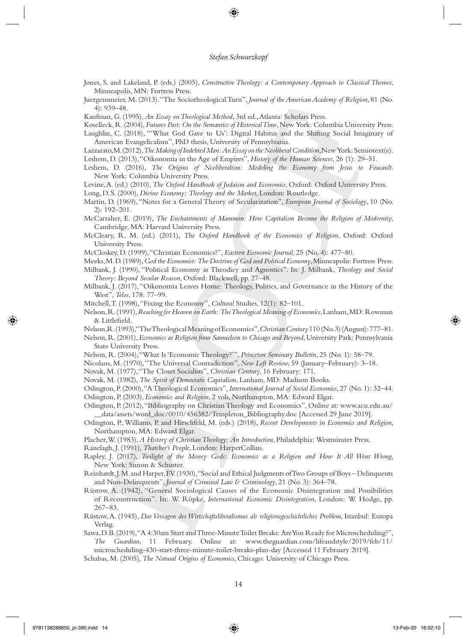↔

- Jones, S. and Lakeland, P. (eds.) (2005), *Constructive Theology: a Contemporary Approach to Classical Themes*, Minneapolis, MN: Fortress Press.
- Juergensmeier , M.( 2013 ). " The Sociotheological Turn ", *Journal of the American Academy of Religion*, 81(No. 4 ): 939 – 48 .
- Kaufman, G. (1995), *An Essay on Theological Method*, 3rd ed., Atlanta: Scholars Press.
- Koselleck, R. (2004), *Futures Past: On the Semantics of Historical Time*, New York: Columbia University Press.
- Laughlin, C. (2018), "'What God Gave to Us': Digital Habitus and the Shifting Social Imaginary of American Evangelicalism", PhD thesis, University of Pennsylvania.
- Lazzarato, M.(2012), *The Making of Indebted Man: An Essay on the Neoliberal Condition*, New York: Semiotext(e). Leshem, D. (2013), "Oikonomia in the Age of Empires", *History of the Human Sciences*, 26 (1): 29–51.
- Leshem, D. (2016), *The Origins of Neoliberalism: Modeling the Economy from Jesus to Foucault.* New York: Columbia University Press.
- Levine, A. (ed.) (2010), *The Oxford Handbook of Judaism and Economics*, Oxford: Oxford University Press.
- Long, D. S. (2000), *Divine Economy: Theology and the Market*, London: Routledge.
- Martin, D. (1969), "Notes for a General Theory of Secularization", *European Journal of Sociology*, 10 (No.  $2)$ : 192-201.
- McCarraher , E.( 2019 ), *The Enchantments of Mammon: How Capitalism Became the Religion of Modernity*, Cambridge, MA: Harvard University Press.
- McCleary , R. M.(ed.) ( 2011 ), *The Oxford Handbook of the Economics of Religion*, Oxford : Oxford University Press.
- McCloskey, D. (1999), "Christian Economics?", *Eastern Economic Journal*, 25 (No. 4): 477-80.
- Meeks, M. D. (1989), *God the Economist: The Doctrine of God and Political Economy*, Minneapolis: Fortress Press. Milbank , J.( 1990 ), " Political Economy as Theodicy and Agnostics ". In: J. Milbank , *Theology and Social*

Theory: Beyond Secular Reason, Oxford: Blackwell, pp. 27-48.

Milbank, J. (2017), "Oikonomia Leaves Home: Theology, Politics, and Governance in the History of the West", *Telos*, 178: 77-99.

Mitchell, T. (1998), "Fixing the Economy", *Cultural Studies*, 12(1): 82-101.

- Nelson , R.( 1991 ), *Reaching for Heaven on Earth: The Theological Meaning of Economics*, Lanham, MD : Rowman & Littlefield.
- Nelson , R.( 1993 ), " The Theological Meaning of Economics ", *Christian Century* 110 (No. 3) (August): 777 81 .
- Nelson, R. (2001), *Economics as Religion from Samuelson to Chicago and Beyond*, University Park: Pennsylvania State University Press .
- Nelson, R. (2004), "What Is 'Economic Theology?"", *Princeton Seminary Bulletin*, 25 (No. 1): 58–79.
- Nicolaus, M. (1970), "The Universal Contradiction", *New Left Review*, 59 (January–February): 3-18.
- Novak, M. (1977), "The Closet Socialists", *Christian Century*, 16 February: 171.
- Novak , M. ( 1982 ), *The Spirit of Democratic Capitalism*, Lanham, MD : Madison Books .
- Oslington, P. (2000), "A Theological Economics", *International Journal of Social Economics*, 27 (No. 1): 32–44. Oslington, P. (2003), *Economics and Religion*, 2 vols, Northampton, MA: Edward Elgar.
- Oslington , P.( 2012 ), " Bibliography on Christian Theology and Economics ", Online at: www.acu.edu.au/ \_ \_ data/ assets/ word\_ doc/ 0010/ 456382/ Templeton\_ Bibliography.doc[Accessed 29 June 2019].
- Oslington, P., Williams, P. and Hirschfeld, M. (eds.) (2018), *Recent Developments in Economics and Religion*, Northampton, MA: Edward Elgar.
- Placher, W. (1983), *A History of Christian Theology: An Introduction*, Philadelphia: Westminster Press.
- Ranelagh, J. (1991), *Thatcher's People*, London: HarperCollins.
- Rapley, J. (2017), *Twilight of the Money Gods: Economics as a Religion and How It All Went Wrong*, New York: Simon & Schuster.
- Reinhardt, J. M. and Harper, F.V. (1930), "Social and Ethical Judgments of Two Groups of Boys Delinquents and Non-Delinquents", *Journal of Criminal Law & Criminology*, 21 (No. 3): 364-78.
- Rüstow, A. (1942), "General Sociological Causes of the Economic Disintegration and Possibilities of Reconstruction". In: W. Röpke, *International Economic Disintegration*, London: W. Hodge, pp.  $267 - 83$
- Rüstow, A. (1945), *Das Versagen des Wirtschaftsliberalismus als religionsgeschichtliches Problem*, Istanbul: Europa Verlag.
- Sawa, D. B. (2019), "A 4:30am Start and Three-Minute Toilet Breaks: Are You Ready for Microscheduling?" *The Guardian*, 11 February. Online at: www.theguardian.com/ lifeandstyle/ 2019/ feb/ 11/ microscheduling-430-start-three-minute-toilet-breaks-plan-day [Accessed 11 February 2019].
- Schabas, M. (2005), *The Natural Origins of Economics*, Chicago: University of Chicago Press.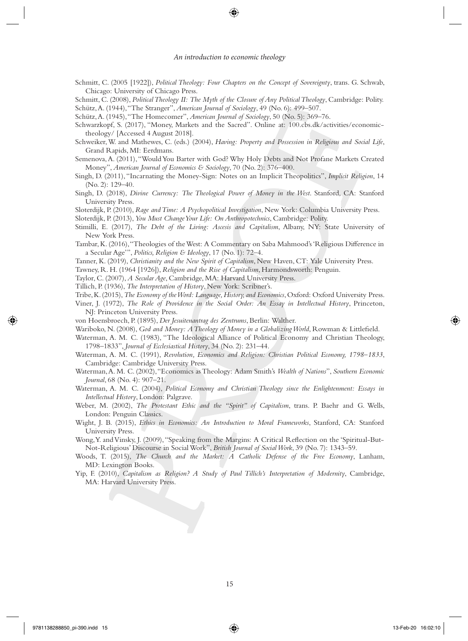↔

Schmitt, C. (2005 [1922]), *Political Theology: Four Chapters on the Concept of Sovereignty*, trans. G. Schwab, Chicago: University of Chicago Press.

Schmitt, C. (2008), *Political Theology II: The Myth of the Closure of Any Political Theology*, Cambridge: Polity. Schütz, A. (1944), "The Stranger", *American Journal of Sociology*, 49 (No. 6): 499-507.

Schütz, A. (1945), "The Homecomer", *American Journal of Sociology*, 50 (No. 5): 369-76.

Schwarzkopf, S. (2017), "Money, Markets and the Sacred". Online at: 100.cbs.dk/activities/economictheology/[Accessed 4 August 2018].

Schweiker, W. and Mathewes, C. (eds.) (2004), *Having: Property and Possession in Religious and Social Life*, Grand Rapids, MI: Eerdmans.

Semenova, A. (2011), "Would You Barter with God? Why Holy Debts and Not Profane Markets Created Money", American Journal of Economics & Sociology, 70 (No. 2): 376-400.

Singh, D. (2011), "Incarnating the Money-Sign: Notes on an Implicit Theopolitics", *Implicit Religion*, 14  $(No. 2)$ : 129-40.

Singh, D. (2018), *Divine Currency: The Theological Power of Money in the West*. Stanford, CA: Stanford University Press.

Sloterdijk, P. (2010), *Rage and Time: A Psychopolitical Investigation*, New York: Columbia University Press.

Sloterdijk, P. (2013), *You Must Change Your Life: On Anthropotechnics*, Cambridge: Polity.

- Stimilli, E. (2017), *The Debt of the Living: Ascesis and Capitalism*, Albany, NY: State University of New York Press.
- Tambar, K. (2016), "Theologies of the West: A Commentary on Saba Mahmood's 'Religious Difference in a Secular Age"", *Politics, Religion & Ideology*, 17 (No. 1): 72-4.

Tanner, K. (2019), *Christianity and the New Spirit of Capitalism*, New Haven, CT: Yale University Press.

Tawney, R. H. (1964 [1926]), *Religion and the Rise of Capitalism*, Harmondsworth: Penguin.

Taylor, C. (2007), *A Secular Age*, Cambridge, MA: Harvard University Press.

Tillich, P. (1936), *The Interpretation of History*, New York: Scribner's.

Tribe, K. (2015), *The Economy of the Word: Language, History, and Economics*, Oxford: Oxford University Press.

Viner, J. (1972), *The Role of Providence in the Social Order: An Essay in Intellectual History*, Princeton, NJ: Princeton University Press.

von Hoensbroech, P. (1895), *Der Jesuitenantrag des Zentrums*, Berlin: Walther.

Wariboko, N. (2008), *God and Money: A Theology of Money in a Globalizing World*, Rowman & Littlefield.

Waterman, A. M. C. (1983), "The Ideological Alliance of Political Economy and Christian Theology, 1798–1833", *Journal of Ecclesiastical History*, 34 (No. 2): 231–44.

Waterman, A. M. C. (1991), *Revolution, Economics and Religion: Christian Political Economy, 1798–1833*, Cambridge : Cambridge University Press .

 Waterman , A. M. C.( 2002 ), " Economics as Theology: Adam Smith's *Wealth of Nations*", *Southern Economic Journal*, 68 (No. 4): 907-21.

Waterman, A. M. C. (2004), *Political Economy and Christian Theology since the Enlightenment: Essays in Intellectual History*, London: Palgrave.

Weber, M. (2002), *The Protestant Ethic and the "Spirit" of Capitalism*, trans. P. Baehr and G. Wells, London: Penguin Classics.

Wight, J. B. (2015), *Ethics in Economics: An Introduction to Moral Frameworks*, Stanford, CA: Stanford University Press.

Wong, Y. and Vinsky, J. (2009), "Speaking from the Margins: A Critical Reflection on the 'Spiritual-But-Not-Religious' Discourse in Social Work", *British Journal of Social Work*, 39 (No. 7): 1343–59.

Woods, T. (2015), *The Church and the Market: A Catholic Defense of the Free Economy*, Lanham, MD: Lexington Books.

Yip , F.( 2010 ), *Capitalism as Religion? A Study of Paul Tillich's Interpretation of Modernity*, Cambridge, MA: Harvard University Press.

9781138288850\_pi-390.indd 15 781138288850\_pi-390.indd 15 781138288850\_pi-390.indd 15